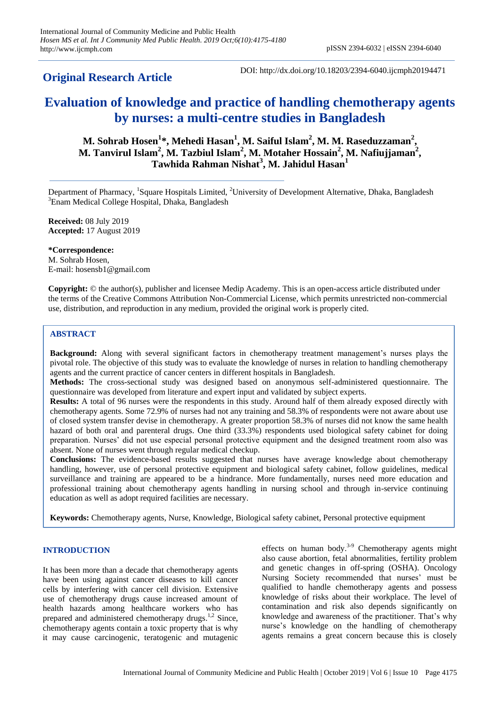# **Original Research Article**

DOI: http://dx.doi.org/10.18203/2394-6040.ijcmph20194471

# **Evaluation of knowledge and practice of handling chemotherapy agents by nurses: a multi-centre studies in Bangladesh**

**M. Sohrab Hosen<sup>1</sup> \*, Mehedi Hasan<sup>1</sup> , M. Saiful Islam<sup>2</sup> , M. M. Raseduzzaman<sup>2</sup> , M. Tanvirul Islam<sup>2</sup> , M. Tazbiul Islam<sup>2</sup> , M. Motaher Hossain<sup>2</sup> , M. Nafiujjaman<sup>2</sup> , Tawhida Rahman Nishat<sup>3</sup> , M. Jahidul Hasan<sup>1</sup>**

Department of Pharmacy, <sup>1</sup>Square Hospitals Limited, <sup>2</sup>University of Development Alternative, Dhaka, Bangladesh <sup>3</sup>Enam Medical College Hospital, Dhaka, Bangladesh

**Received:** 08 July 2019 **Accepted:** 17 August 2019

**\*Correspondence:** M. Sohrab Hosen, E-mail: hosensb1@gmail.com

**Copyright:** © the author(s), publisher and licensee Medip Academy. This is an open-access article distributed under the terms of the Creative Commons Attribution Non-Commercial License, which permits unrestricted non-commercial use, distribution, and reproduction in any medium, provided the original work is properly cited.

# **ABSTRACT**

**Background:** Along with several significant factors in chemotherapy treatment management's nurses plays the pivotal role. The objective of this study was to evaluate the knowledge of nurses in relation to handling chemotherapy agents and the current practice of cancer centers in different hospitals in Bangladesh.

**Methods:** The cross-sectional study was designed based on anonymous self-administered questionnaire. The questionnaire was developed from literature and expert input and validated by subject experts.

**Results:** A total of 96 nurses were the respondents in this study. Around half of them already exposed directly with chemotherapy agents. Some 72.9% of nurses had not any training and 58.3% of respondents were not aware about use of closed system transfer devise in chemotherapy. A greater proportion 58.3% of nurses did not know the same health hazard of both oral and parenteral drugs. One third (33.3%) respondents used biological safety cabinet for doing preparation. Nurses' did not use especial personal protective equipment and the designed treatment room also was absent. None of nurses went through regular medical checkup.

**Conclusions:** The evidence-based results suggested that nurses have average knowledge about chemotherapy handling, however, use of personal protective equipment and biological safety cabinet, follow guidelines, medical surveillance and training are appeared to be a hindrance. More fundamentally, nurses need more education and professional training about chemotherapy agents handling in nursing school and through in-service continuing education as well as adopt required facilities are necessary.

**Keywords:** Chemotherapy agents, Nurse, Knowledge, Biological safety cabinet, Personal protective equipment

# **INTRODUCTION**

It has been more than a decade that chemotherapy agents have been using against cancer diseases to kill cancer cells by interfering with cancer cell division. Extensive use of chemotherapy drugs cause increased amount of health hazards among healthcare workers who has prepared and administered chemotherapy drugs.<sup>1,2</sup> Since, chemotherapy agents contain a toxic property that is why it may cause carcinogenic, teratogenic and mutagenic

effects on human body.<sup>3-9</sup> Chemotherapy agents might also cause abortion, fetal abnormalities, fertility problem and genetic changes in off-spring (OSHA). Oncology Nursing Society recommended that nurses' must be qualified to handle chemotherapy agents and possess knowledge of risks about their workplace. The level of contamination and risk also depends significantly on knowledge and awareness of the practitioner. That's why nurse's knowledge on the handling of chemotherapy agents remains a great concern because this is closely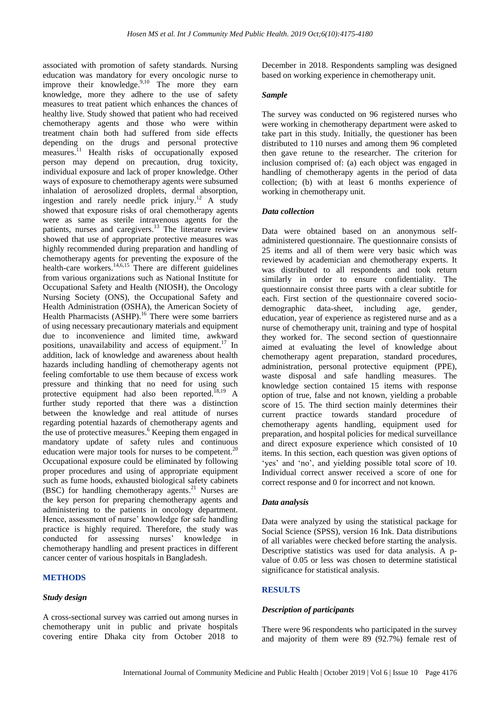associated with promotion of safety standards. Nursing education was mandatory for every oncologic nurse to improve their knowledge.<sup>9,10</sup> The more they earn knowledge, more they adhere to the use of safety measures to treat patient which enhances the chances of healthy live. Study showed that patient who had received chemotherapy agents and those who were within treatment chain both had suffered from side effects depending on the drugs and personal protective measures.<sup>11</sup> Health risks of occupationally exposed person may depend on precaution, drug toxicity, individual exposure and lack of proper knowledge. Other ways of exposure to chemotherapy agents were subsumed inhalation of aerosolized droplets, dermal absorption, ingestion and rarely needle prick injury. <sup>12</sup> A study showed that exposure risks of oral chemotherapy agents were as same as sterile intravenous agents for the patients, nurses and caregivers.<sup>13</sup> The literature review showed that use of appropriate protective measures was highly recommended during preparation and handling of chemotherapy agents for preventing the exposure of the health-care workers. 14,6,15 There are different guidelines from various organizations such as National Institute for Occupational Safety and Health (NIOSH), the Oncology Nursing Society (ONS), the Occupational Safety and Health Administration (OSHA), the American Society of Health Pharmacists (ASHP).<sup>16</sup> There were some barriers of using necessary precautionary materials and equipment due to inconvenience and limited time, awkward positions, unavailability and access of equipment. <sup>17</sup> In addition, lack of knowledge and awareness about health hazards including handling of chemotherapy agents not feeling comfortable to use them because of excess work pressure and thinking that no need for using such protective equipment had also been reported.<sup>18,19</sup> A further study reported that there was a distinction between the knowledge and real attitude of nurses regarding potential hazards of chemotherapy agents and the use of protective measures. <sup>6</sup> Keeping them engaged in mandatory update of safety rules and continuous education were major tools for nurses to be competent.<sup>20</sup> Occupational exposure could be eliminated by following proper procedures and using of appropriate equipment such as fume hoods, exhausted biological safety cabinets (BSC) for handling chemotherapy agents. <sup>21</sup> Nurses are the key person for preparing chemotherapy agents and administering to the patients in oncology department. Hence, assessment of nurse' knowledge for safe handling practice is highly required. Therefore, the study was conducted for assessing nurses' knowledge in chemotherapy handling and present practices in different cancer center of various hospitals in Bangladesh.

#### **METHODS**

#### *Study design*

A cross-sectional survey was carried out among nurses in chemotherapy unit in public and private hospitals covering entire Dhaka city from October 2018 to December in 2018. Respondents sampling was designed based on working experience in chemotherapy unit.

# *Sample*

The survey was conducted on 96 registered nurses who were working in chemotherapy department were asked to take part in this study. Initially, the questioner has been distributed to 110 nurses and among them 96 completed then gave retune to the researcher. The criterion for inclusion comprised of: (a) each object was engaged in handling of chemotherapy agents in the period of data collection; (b) with at least 6 months experience of working in chemotherapy unit.

# *Data collection*

Data were obtained based on an anonymous selfadministered questionnaire. The questionnaire consists of 25 items and all of them were very basic which was reviewed by academician and chemotherapy experts. It was distributed to all respondents and took return similarly in order to ensure confidentiality. The questionnaire consist three parts with a clear subtitle for each. First section of the questionnaire covered sociodemographic data-sheet, including age, gender, education, year of experience as registered nurse and as a nurse of chemotherapy unit, training and type of hospital they worked for. The second section of questionnaire aimed at evaluating the level of knowledge about chemotherapy agent preparation, standard procedures, administration, personal protective equipment (PPE), waste disposal and safe handling measures. The knowledge section contained 15 items with response option of true, false and not known, yielding a probable score of 15. The third section mainly determines their current practice towards standard procedure of chemotherapy agents handling, equipment used for preparation, and hospital policies for medical surveillance and direct exposure experience which consisted of 10 items. In this section, each question was given options of 'yes' and 'no', and yielding possible total score of 10. Individual correct answer received a score of one for correct response and 0 for incorrect and not known.

# *Data analysis*

Data were analyzed by using the statistical package for Social Science (SPSS), version 16 Ink. Data distributions of all variables were checked before starting the analysis. Descriptive statistics was used for data analysis. A pvalue of 0.05 or less was chosen to determine statistical significance for statistical analysis.

# **RESULTS**

# *Description of participants*

There were 96 respondents who participated in the survey and majority of them were 89 (92.7%) female rest of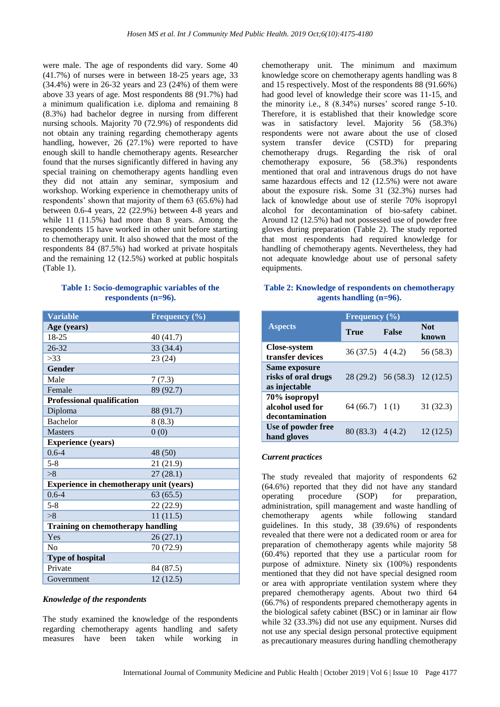were male. The age of respondents did vary. Some 40 (41.7%) of nurses were in between 18-25 years age, 33 (34.4%) were in 26-32 years and 23 (24%) of them were above 33 years of age. Most respondents 88 (91.7%) had a minimum qualification i.e. diploma and remaining 8 (8.3%) had bachelor degree in nursing from different nursing schools. Majority 70 (72.9%) of respondents did not obtain any training regarding chemotherapy agents handling, however, 26 (27.1%) were reported to have enough skill to handle chemotherapy agents. Researcher found that the nurses significantly differed in having any special training on chemotherapy agents handling even they did not attain any seminar, symposium and workshop. Working experience in chemotherapy units of respondents' shown that majority of them 63 (65.6%) had between 0.6-4 years, 22 (22.9%) between 4-8 years and while 11 (11.5%) had more than 8 years. Among the respondents 15 have worked in other unit before starting to chemotherapy unit. It also showed that the most of the respondents 84 (87.5%) had worked at private hospitals and the remaining 12 (12.5%) worked at public hospitals (Table 1).

#### **Table 1: Socio-demographic variables of the respondents (n=96).**

| <b>Variable</b>                                | <b>Frequency</b> $(\%)$ |  |  |
|------------------------------------------------|-------------------------|--|--|
| Age (years)                                    |                         |  |  |
| 18-25                                          | 40 (41.7)               |  |  |
| $26 - 32$                                      | 33(34.4)                |  |  |
| >33                                            | 23(24)                  |  |  |
| Gender                                         |                         |  |  |
| Male                                           | 7(7.3)                  |  |  |
| Female                                         | 89 (92.7)               |  |  |
| <b>Professional qualification</b>              |                         |  |  |
| Diploma                                        | 88 (91.7)               |  |  |
| <b>Bachelor</b>                                | 8(8.3)                  |  |  |
| <b>Masters</b>                                 | 0(0)                    |  |  |
| <b>Experience (years)</b>                      |                         |  |  |
| $0.6 - 4$                                      | 48 (50)                 |  |  |
| $5 - 8$                                        | 21(21.9)                |  |  |
| >8                                             | 27(28.1)                |  |  |
| <b>Experience in chemotherapy unit (years)</b> |                         |  |  |
| $0.6 - 4$                                      | 63(65.5)                |  |  |
| $5 - 8$                                        | 22 (22.9)               |  |  |
| >8                                             | 11(11.5)                |  |  |
| <b>Training on chemotherapy handling</b>       |                         |  |  |
| Yes                                            | 26(27.1)                |  |  |
| No                                             | 70 (72.9)               |  |  |
| <b>Type of hospital</b>                        |                         |  |  |
| Private                                        | 84 (87.5)               |  |  |
| Government                                     | 12(12.5)                |  |  |

#### *Knowledge of the respondents*

The study examined the knowledge of the respondents regarding chemotherapy agents handling and safety measures have been taken while working in chemotherapy unit. The minimum and maximum knowledge score on chemotherapy agents handling was 8 and 15 respectively. Most of the respondents 88 (91.66%) had good level of knowledge their score was 11-15, and the minority i.e., 8 (8.34%) nurses' scored range 5-10. Therefore, it is established that their knowledge score was in satisfactory level. Majority 56 (58.3%) respondents were not aware about the use of closed system transfer device (CSTD) for preparing chemotherapy drugs. Regarding the risk of oral chemotherapy exposure, 56 (58.3%) respondents mentioned that oral and intravenous drugs do not have same hazardous effects and 12 (12.5%) were not aware about the exposure risk. Some 31 (32.3%) nurses had lack of knowledge about use of sterile 70% isopropyl alcohol for decontamination of bio-safety cabinet. Around 12 (12.5%) had not possessed use of powder free gloves during preparation (Table 2). The study reported that most respondents had required knowledge for handling of chemotherapy agents. Nevertheless, they had not adequate knowledge about use of personal safety equipments.

# **Table 2: Knowledge of respondents on chemotherapy agents handling (n=96).**

|                                                       | Frequency $(\% )$  |                               |                     |
|-------------------------------------------------------|--------------------|-------------------------------|---------------------|
| <b>Aspects</b>                                        | <b>True</b>        | <b>False</b>                  | <b>Not</b><br>known |
| <b>Close-system</b><br>transfer devices               | $36(37.5)$ 4 (4.2) |                               | 56 (58.3)           |
| Same exposure<br>risks of oral drugs<br>as injectable |                    | 28 (29.2) 56 (58.3) 12 (12.5) |                     |
| 70% isopropyl<br>alcohol used for<br>decontamination  | 64(66.7) 1(1)      |                               | 31 (32.3)           |
| Use of powder free<br>hand gloves                     | $80(83.3)$ 4 (4.2) |                               | 12(12.5)            |

# *Current practices*

The study revealed that majority of respondents 62 (64.6%) reported that they did not have any standard operating procedure (SOP) for preparation, administration, spill management and waste handling of chemotherapy agents while following standard guidelines. In this study, 38 (39.6%) of respondents revealed that there were not a dedicated room or area for preparation of chemotherapy agents while majority 58 (60.4%) reported that they use a particular room for purpose of admixture. Ninety six (100%) respondents mentioned that they did not have special designed room or area with appropriate ventilation system where they prepared chemotherapy agents. About two third 64 (66.7%) of respondents prepared chemotherapy agents in the biological safety cabinet (BSC) or in laminar air flow while 32 (33.3%) did not use any equipment. Nurses did not use any special design personal protective equipment as precautionary measures during handling chemotherapy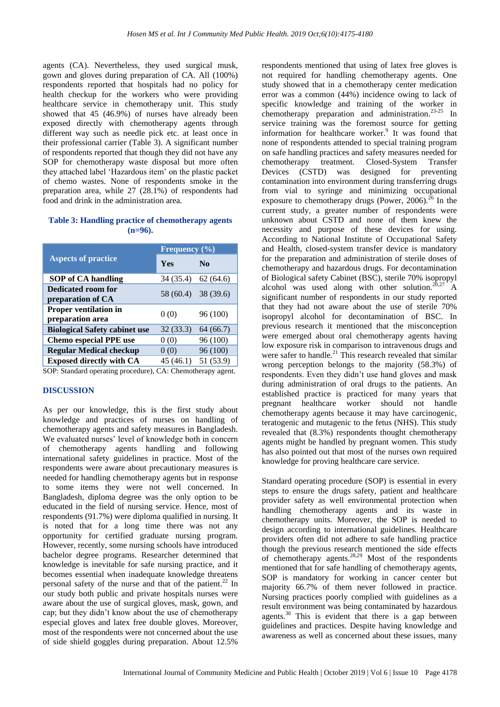agents (CA). Nevertheless, they used surgical musk, gown and gloves during preparation of CA. All (100%) respondents reported that hospitals had no policy for health checkup for the workers who were providing healthcare service in chemotherapy unit. This study showed that 45 (46.9%) of nurses have already been exposed directly with chemotherapy agents through different way such as needle pick etc. at least once in their professional carrier (Table 3). A significant number of respondents reported that though they did not have any SOP for chemotherapy waste disposal but more often they attached label 'Hazardous item' on the plastic packet of chemo wastes. None of respondents smoke in the preparation area, while 27 (28.1%) of respondents had food and drink in the administration area.

# **Table 3: Handling practice of chemotherapy agents (n=96).**

|                                                  | Frequency $\overline{(\%)}$ |           |  |
|--------------------------------------------------|-----------------------------|-----------|--|
| <b>Aspects of practice</b>                       | <b>Yes</b>                  | $\bf No$  |  |
| <b>SOP</b> of CA handling                        | 34 (35.4)                   | 62(64.6)  |  |
| Dedicated room for<br>preparation of CA          | 58 (60.4)                   | 38 (39.6) |  |
| <b>Proper ventilation in</b><br>preparation area | 0(0)                        | 96 (100)  |  |
| <b>Biological Safety cabinet use</b>             | 32 (33.3)                   | 64(66.7)  |  |
| <b>Chemo especial PPE use</b>                    | 0(0)                        | 96 (100)  |  |
| <b>Regular Medical checkup</b>                   | 0(0)                        | 96 (100)  |  |
| <b>Exposed directly with CA</b>                  | 45(46.1)                    | 51 (53.9) |  |

SOP: Standard operating procedure), CA: Chemotherapy agent.

# **DISCUSSION**

As per our knowledge, this is the first study about knowledge and practices of nurses on handling of chemotherapy agents and safety measures in Bangladesh. We evaluated nurses' level of knowledge both in concern of chemotherapy agents handling and following international safety guidelines in practice. Most of the respondents were aware about precautionary measures is needed for handling chemotherapy agents but in response to some items they were not well concerned. In Bangladesh, diploma degree was the only option to be educated in the field of nursing service. Hence, most of respondents (91.7%) were diploma qualified in nursing. It is noted that for a long time there was not any opportunity for certified graduate nursing program. However, recently, some nursing schools have introduced bachelor degree programs. Researcher determined that knowledge is inevitable for safe nursing practice, and it becomes essential when inadequate knowledge threatens personal safety of the nurse and that of the patient. <sup>22</sup> In our study both public and private hospitals nurses were aware about the use of surgical gloves, mask, gown, and cap; but they didn't know about the use of chemotherapy especial gloves and latex free double gloves. Moreover, most of the respondents were not concerned about the use of side shield goggles during preparation. About 12.5%

respondents mentioned that using of latex free gloves is not required for handling chemotherapy agents. One study showed that in a chemotherapy center medication error was a common (44%) incidence owing to lack of specific knowledge and training of the worker in chemotherapy preparation and administration. 23-25 In service training was the foremost source for getting information for healthcare worker. 9 It was found that none of respondents attended to special training program on safe handling practices and safety measures needed for chemotherapy treatment. Closed-System Transfer Devices (CSTD) was designed for preventing contamination into environment during transferring drugs from vial to syringe and minimizing occupational exposure to chemotherapy drugs (Power,  $2006$ )<sup>26</sup> In the current study, a greater number of respondents were unknown about CSTD and none of them knew the necessity and purpose of these devices for using. According to National Institute of Occupational Safety and Health, closed-system transfer device is mandatory for the preparation and administration of sterile doses of chemotherapy and hazardous drugs. For decontamination of Biological safety Cabinet (BSC), sterile 70% isopropyl alcohol was used along with other solution.<sup>20,27</sup> A significant number of respondents in our study reported that they had not aware about the use of sterile 70% isopropyl alcohol for decontamination of BSC. In previous research it mentioned that the misconception were emerged about oral chemotherapy agents having low exposure risk in comparison to intravenous drugs and were safer to handle.<sup>21</sup> This research revealed that similar wrong perception belongs to the majority (58.3%) of respondents. Even they didn't use hand gloves and mask during administration of oral drugs to the patients. An established practice is practiced for many years that pregnant healthcare worker should not handle chemotherapy agents because it may have carcinogenic, teratogenic and mutagenic to the fetus (NHS). This study revealed that (8.3%) respondents thought chemotherapy agents might be handled by pregnant women. This study has also pointed out that most of the nurses own required knowledge for proving healthcare care service.

Standard operating procedure (SOP) is essential in every steps to ensure the drugs safety, patient and healthcare provider safety as well environmental protection when handling chemotherapy agents and its waste in chemotherapy units. Moreover, the SOP is needed to design according to international guidelines. Healthcare providers often did not adhere to safe handling practice though the previous research mentioned the side effects of chemotherapy agents. 28,29 Most of the respondents mentioned that for safe handling of chemotherapy agents, SOP is mandatory for working in cancer center but majority 66.7% of them never followed in practice. Nursing practices poorly complied with guidelines as a result environment was being contaminated by hazardous agents.<sup>30</sup> This is evident that there is a gap between guidelines and practices. Despite having knowledge and awareness as well as concerned about these issues, many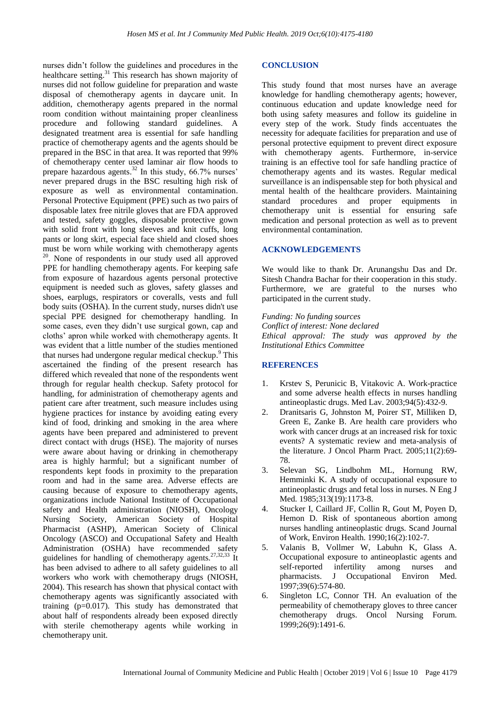nurses didn't follow the guidelines and procedures in the healthcare setting.<sup>31</sup> This research has shown majority of nurses did not follow guideline for preparation and waste disposal of chemotherapy agents in daycare unit. In addition, chemotherapy agents prepared in the normal room condition without maintaining proper cleanliness procedure and following standard guidelines. A designated treatment area is essential for safe handling practice of chemotherapy agents and the agents should be prepared in the BSC in that area. It was reported that 99% of chemotherapy center used laminar air flow hoods to prepare hazardous agents.<sup>32</sup> In this study, 66.7% nurses' never prepared drugs in the BSC resulting high risk of exposure as well as environmental contamination. Personal Protective Equipment (PPE) such as two pairs of disposable latex free nitrile gloves that are FDA approved and tested, safety goggles, disposable protective gown with solid front with long sleeves and knit cuffs, long pants or long skirt, especial face shield and closed shoes must be worn while working with chemotherapy agents <sup>20</sup>. None of respondents in our study used all approved PPE for handling chemotherapy agents. For keeping safe from exposure of hazardous agents personal protective equipment is needed such as gloves, safety glasses and shoes, earplugs, respirators or coveralls, vests and full body suits (OSHA). In the current study, nurses didn't use special PPE designed for chemotherapy handling. In some cases, even they didn't use surgical gown, cap and cloths' apron while worked with chemotherapy agents. It was evident that a little number of the studies mentioned that nurses had undergone regular medical checkup.<sup>9</sup> This ascertained the finding of the present research has differed which revealed that none of the respondents went through for regular health checkup. Safety protocol for handling, for administration of chemotherapy agents and patient care after treatment, such measure includes using hygiene practices for instance by avoiding eating every kind of food, drinking and smoking in the area where agents have been prepared and administered to prevent direct contact with drugs (HSE). The majority of nurses were aware about having or drinking in chemotherapy area is highly harmful; but a significant number of respondents kept foods in proximity to the preparation room and had in the same area. Adverse effects are causing because of exposure to chemotherapy agents, organizations include National Institute of Occupational safety and Health administration (NIOSH), Oncology Nursing Society, American Society of Hospital Pharmacist (ASHP), American Society of Clinical Oncology (ASCO) and Occupational Safety and Health Administration (OSHA) have recommended safety guidelines for handling of chemotherapy agents.<sup>27,32,33</sup> It has been advised to adhere to all safety guidelines to all workers who work with chemotherapy drugs (NIOSH, 2004). This research has shown that physical contact with chemotherapy agents was significantly associated with training (p=0.017). This study has demonstrated that about half of respondents already been exposed directly with sterile chemotherapy agents while working in chemotherapy unit.

#### **CONCLUSION**

This study found that most nurses have an average knowledge for handling chemotherapy agents; however, continuous education and update knowledge need for both using safety measures and follow its guideline in every step of the work. Study finds accentuates the necessity for adequate facilities for preparation and use of personal protective equipment to prevent direct exposure with chemotherapy agents. Furthermore, in-service training is an effective tool for safe handling practice of chemotherapy agents and its wastes. Regular medical surveillance is an indispensable step for both physical and mental health of the healthcare providers. Maintaining standard procedures and proper equipments in chemotherapy unit is essential for ensuring safe medication and personal protection as well as to prevent environmental contamination.

#### **ACKNOWLEDGEMENTS**

We would like to thank Dr. Arunangshu Das and Dr. Sitesh Chandra Bachar for their cooperation in this study. Furthermore, we are grateful to the nurses who participated in the current study.

*Funding: No funding sources Conflict of interest: None declared Ethical approval: The study was approved by the Institutional Ethics Committee*

#### **REFERENCES**

- 1. Krstev S, Perunicic B, Vitakovic A. Work-practice and some adverse health effects in nurses handling antineoplastic drugs. Med Lav. 2003;94(5):432-9.
- 2. Dranitsaris G, Johnston M, Poirer ST, Milliken D, Green E, Zanke B. Are health care providers who work with cancer drugs at an increased risk for toxic events? A systematic review and meta-analysis of the literature. J Oncol Pharm Pract. 2005;11(2):69- 78.
- 3. Selevan SG, Lindbohm ML, Hornung RW, Hemminki K. A study of occupational exposure to antineoplastic drugs and fetal loss in nurses. N Eng J Med. 1985;313(19):1173-8.
- 4. Stucker I, Caillard JF, Collin R, Gout M, Poyen D, Hemon D. Risk of spontaneous abortion among nurses handling antineoplastic drugs. Scand Journal of Work, Environ Health. 1990;16(2):102-7.
- 5. Valanis B, Vollmer W, Labuhn K, Glass A. Occupational exposure to antineoplastic agents and self-reported infertility among nurses and pharmacists. J Occupational Environ Med. 1997;39(6):574-80.
- 6. Singleton LC, Connor TH. An evaluation of the permeability of chemotherapy gloves to three cancer chemotherapy drugs. Oncol Nursing Forum. 1999;26(9):1491-6.